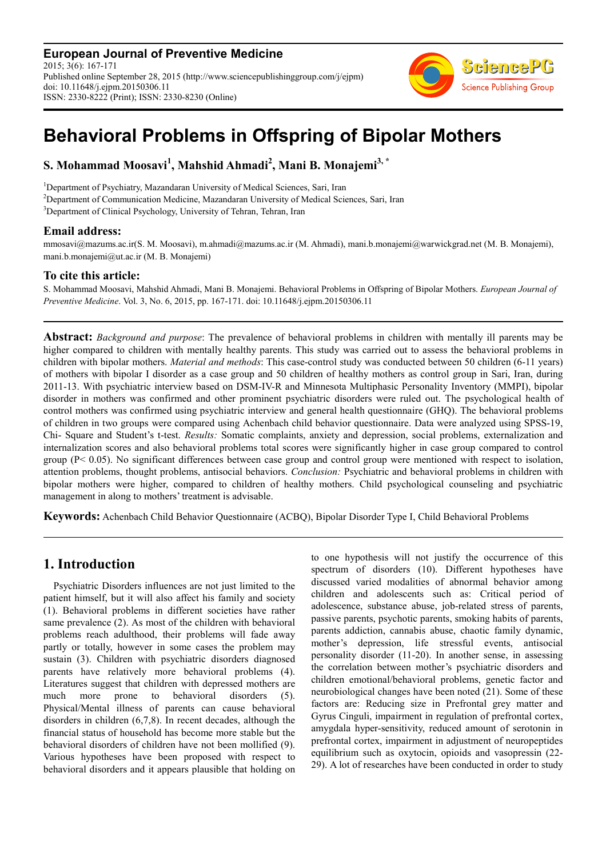**European Journal of Preventive Medicine** 2015; 3(6): 167-171 Published online September 28, 2015 (http://www.sciencepublishinggroup.com/j/ejpm) doi: 10.11648/j.ejpm.20150306.11 ISSN: 2330-8222 (Print); ISSN: 2330-8230 (Online)



# **Behavioral Problems in Offspring of Bipolar Mothers**

## **S. Mohammad Moosavi<sup>1</sup> , Mahshid Ahmadi<sup>2</sup> , Mani B. Monajemi3, \***

<sup>1</sup>Department of Psychiatry, Mazandaran University of Medical Sciences, Sari, Iran <sup>2</sup>Department of Communication Medicine, Mazandaran University of Medical Sciences, Sari, Iran <sup>3</sup>Department of Clinical Psychology, University of Tehran, Tehran, Iran

### **Email address:**

mmosavi@mazums.ac.ir(S. M. Moosavi), m.ahmadi@mazums.ac.ir (M. Ahmadi), mani.b.monajemi@warwickgrad.net (M. B. Monajemi), mani.b.monajemi@ut.ac.ir (M. B. Monajemi)

## **To cite this article:**

S. Mohammad Moosavi, Mahshid Ahmadi, Mani B. Monajemi. Behavioral Problems in Offspring of Bipolar Mothers. *European Journal of Preventive Medicine*. Vol. 3, No. 6, 2015, pp. 167-171. doi: 10.11648/j.ejpm.20150306.11

**Abstract:** *Background and purpose*: The prevalence of behavioral problems in children with mentally ill parents may be higher compared to children with mentally healthy parents. This study was carried out to assess the behavioral problems in children with bipolar mothers. *Material and methods*: This case-control study was conducted between 50 children (6-11 years) of mothers with bipolar I disorder as a case group and 50 children of healthy mothers as control group in Sari, Iran, during 2011-13. With psychiatric interview based on DSM-IV-R and Minnesota Multiphasic Personality Inventory (MMPI), bipolar disorder in mothers was confirmed and other prominent psychiatric disorders were ruled out. The psychological health of control mothers was confirmed using psychiatric interview and general health questionnaire (GHQ). The behavioral problems of children in two groups were compared using Achenbach child behavior questionnaire. Data were analyzed using SPSS-19, Chi- Square and Student's t-test. *Results:* Somatic complaints, anxiety and depression, social problems, externalization and internalization scores and also behavioral problems total scores were significantly higher in case group compared to control group ( $P < 0.05$ ). No significant differences between case group and control group were mentioned with respect to isolation, attention problems, thought problems, antisocial behaviors. *Conclusion:* Psychiatric and behavioral problems in children with bipolar mothers were higher, compared to children of healthy mothers. Child psychological counseling and psychiatric management in along to mothers' treatment is advisable.

**Keywords:** Achenbach Child Behavior Questionnaire (ACBQ), Bipolar Disorder Type I, Child Behavioral Problems

## **1. Introduction**

Psychiatric Disorders influences are not just limited to the patient himself, but it will also affect his family and society (1). Behavioral problems in different societies have rather same prevalence (2). As most of the children with behavioral problems reach adulthood, their problems will fade away partly or totally, however in some cases the problem may sustain (3). Children with psychiatric disorders diagnosed parents have relatively more behavioral problems (4). Literatures suggest that children with depressed mothers are much more prone to behavioral disorders (5). Physical/Mental illness of parents can cause behavioral disorders in children (6,7,8). In recent decades, although the financial status of household has become more stable but the behavioral disorders of children have not been mollified (9). Various hypotheses have been proposed with respect to behavioral disorders and it appears plausible that holding on to one hypothesis will not justify the occurrence of this spectrum of disorders (10). Different hypotheses have discussed varied modalities of abnormal behavior among children and adolescents such as: Critical period of adolescence, substance abuse, job-related stress of parents, passive parents, psychotic parents, smoking habits of parents, parents addiction, cannabis abuse, chaotic family dynamic, mother's depression, life stressful events, antisocial personality disorder (11-20). In another sense, in assessing the correlation between mother's psychiatric disorders and children emotional/behavioral problems, genetic factor and neurobiological changes have been noted (21). Some of these factors are: Reducing size in Prefrontal grey matter and Gyrus Cinguli, impairment in regulation of prefrontal cortex, amygdala hyper-sensitivity, reduced amount of serotonin in prefrontal cortex, impairment in adjustment of neuropeptides equilibrium such as oxytocin, opioids and vasopressin (22- 29). A lot of researches have been conducted in order to study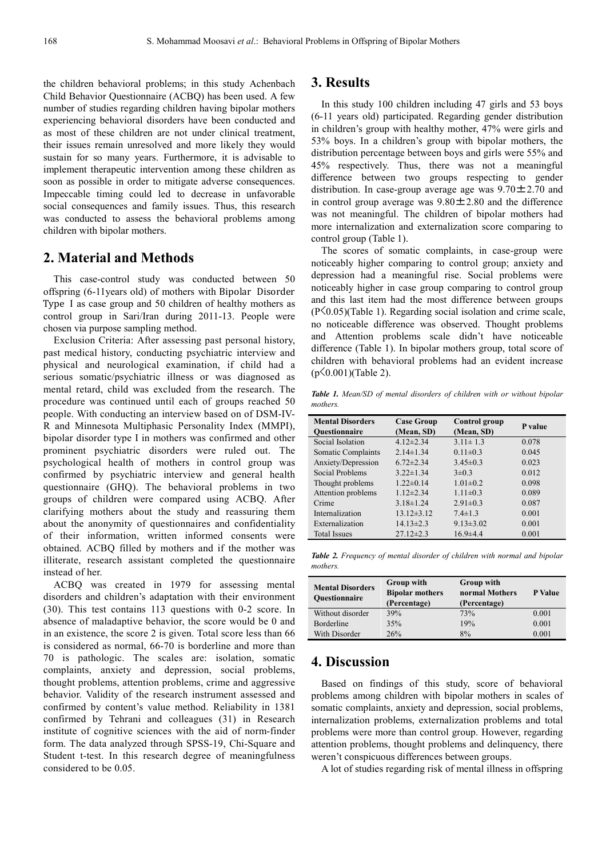the children behavioral problems; in this study Achenbach Child Behavior Questionnaire (ACBQ) has been used. A few number of studies regarding children having bipolar mothers experiencing behavioral disorders have been conducted and as most of these children are not under clinical treatment, their issues remain unresolved and more likely they would sustain for so many years. Furthermore, it is advisable to implement therapeutic intervention among these children as soon as possible in order to mitigate adverse consequences. Impeccable timing could led to decrease in unfavorable social consequences and family issues. Thus, this research was conducted to assess the behavioral problems among children with bipolar mothers.

## **2. Material and Methods**

This case-control study was conducted between 50 offspring (6-11years old) of mothers with Bipolar Disorder Type I as case group and 50 children of healthy mothers as control group in Sari/Iran during 2011-13. People were chosen via purpose sampling method.

Exclusion Criteria: After assessing past personal history, past medical history, conducting psychiatric interview and physical and neurological examination, if child had a serious somatic/psychiatric illness or was diagnosed as mental retard, child was excluded from the research. The procedure was continued until each of groups reached 50 people. With conducting an interview based on of DSM-IV-R and Minnesota Multiphasic Personality Index (MMPI), bipolar disorder type I in mothers was confirmed and other prominent psychiatric disorders were ruled out. The psychological health of mothers in control group was confirmed by psychiatric interview and general health questionnaire (GHQ). The behavioral problems in two groups of children were compared using ACBQ. After clarifying mothers about the study and reassuring them about the anonymity of questionnaires and confidentiality of their information, written informed consents were obtained. ACBQ filled by mothers and if the mother was illiterate, research assistant completed the questionnaire instead of her.

ACBQ was created in 1979 for assessing mental disorders and children's adaptation with their environment (30). This test contains 113 questions with 0-2 score. In absence of maladaptive behavior, the score would be 0 and in an existence, the score 2 is given. Total score less than 66 is considered as normal, 66-70 is borderline and more than 70 is pathologic. The scales are: isolation, somatic complaints, anxiety and depression, social problems, thought problems, attention problems, crime and aggressive behavior. Validity of the research instrument assessed and confirmed by content's value method. Reliability in 1381 confirmed by Tehrani and colleagues (31) in Research institute of cognitive sciences with the aid of norm-finder form. The data analyzed through SPSS-19, Chi-Square and Student t-test. In this research degree of meaningfulness considered to be 0.05.

#### **3. Results**

In this study 100 children including 47 girls and 53 boys (6-11 years old) participated. Regarding gender distribution in children's group with healthy mother, 47% were girls and 53% boys. In a children's group with bipolar mothers, the distribution percentage between boys and girls were 55% and 45% respectively. Thus, there was not a meaningful difference between two groups respecting to gender distribution. In case-group average age was  $9.70 \pm 2.70$  and in control group average was  $9.80 \pm 2.80$  and the difference was not meaningful. The children of bipolar mothers had more internalization and externalization score comparing to control group (Table 1).

The scores of somatic complaints, in case-group were noticeably higher comparing to control group; anxiety and depression had a meaningful rise. Social problems were noticeably higher in case group comparing to control group and this last item had the most difference between groups (P<0.05)(Table 1). Regarding social isolation and crime scale, no noticeable difference was observed. Thought problems and Attention problems scale didn't have noticeable difference (Table 1). In bipolar mothers group, total score of children with behavioral problems had an evident increase  $(p\leq 0.001)$ (Table 2).

*Table 1. Mean/SD of mental disorders of children with or without bipolar mothers.* 

| <b>Mental Disorders</b> | <b>Case Group</b> | Control group   |         |
|-------------------------|-------------------|-----------------|---------|
| <b>Ouestionnaire</b>    | (Mean, SD)        | (Mean, SD)      | P value |
| Social Isolation        | $4.12 \pm 2.34$   | $3.11 \pm 1.3$  | 0.078   |
| Somatic Complaints      | $2.14 \pm 1.34$   | $0.11 \pm 0.3$  | 0.045   |
| Anxiety/Depression      | $6.72 \pm 2.34$   | $3.45 \pm 0.3$  | 0.023   |
| Social Problems         | $3.22 \pm 1.34$   | $3\pm 0.3$      | 0.012   |
| Thought problems        | $1.22 \pm 0.14$   | $1.01 \pm 0.2$  | 0.098   |
| Attention problems      | $1.12 \pm 2.34$   | $1.11 \pm 0.3$  | 0.089   |
| Crime                   | $3.18 \pm 1.24$   | $2.91 \pm 0.3$  | 0.087   |
| Internalization         | $13.12 \pm 3.12$  | $7.4 \pm 1.3$   | 0.001   |
| Externalization         | $14.13 \pm 2.3$   | $9.13 \pm 3.02$ | 0.001   |
| <b>Total Issues</b>     | $27.12 \pm 2.3$   | $16.9{\pm}4.4$  | 0.001   |

*Table 2. Frequency of mental disorder of children with normal and bipolar mothers.* 

| <b>Mental Disorders</b><br><b>Ouestionnaire</b> | <b>Group with</b><br><b>Bipolar mothers</b><br>(Percentage) | <b>Group with</b><br>normal Mothers<br>(Percentage) | <b>P</b> Value |
|-------------------------------------------------|-------------------------------------------------------------|-----------------------------------------------------|----------------|
| Without disorder                                | 39%                                                         | 73%                                                 | 0.001          |
| Borderline                                      | 35%                                                         | 19%                                                 | 0.001          |
| With Disorder                                   | 26%                                                         | 8%                                                  | 0.001          |

## **4. Discussion**

Based on findings of this study, score of behavioral problems among children with bipolar mothers in scales of somatic complaints, anxiety and depression, social problems, internalization problems, externalization problems and total problems were more than control group. However, regarding attention problems, thought problems and delinquency, there weren't conspicuous differences between groups.

A lot of studies regarding risk of mental illness in offspring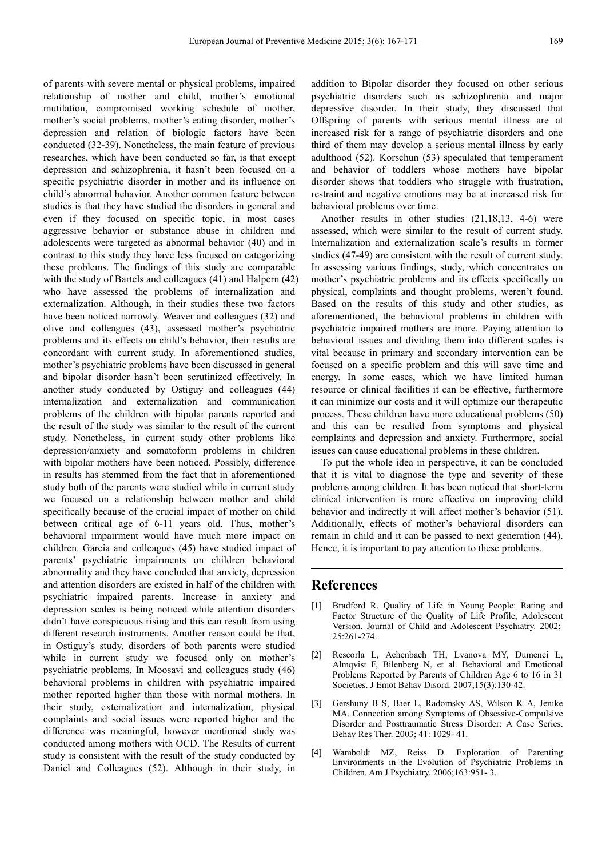of parents with severe mental or physical problems, impaired relationship of mother and child, mother's emotional mutilation, compromised working schedule of mother, mother's social problems, mother's eating disorder, mother's depression and relation of biologic factors have been conducted (32-39). Nonetheless, the main feature of previous researches, which have been conducted so far, is that except depression and schizophrenia, it hasn't been focused on a specific psychiatric disorder in mother and its influence on child's abnormal behavior. Another common feature between studies is that they have studied the disorders in general and even if they focused on specific topic, in most cases aggressive behavior or substance abuse in children and adolescents were targeted as abnormal behavior (40) and in contrast to this study they have less focused on categorizing these problems. The findings of this study are comparable with the study of Bartels and colleagues (41) and Halpern (42) who have assessed the problems of internalization and externalization. Although, in their studies these two factors have been noticed narrowly. Weaver and colleagues (32) and olive and colleagues (43), assessed mother's psychiatric problems and its effects on child's behavior, their results are concordant with current study. In aforementioned studies, mother's psychiatric problems have been discussed in general and bipolar disorder hasn't been scrutinized effectively. In another study conducted by Ostiguy and colleagues (44) internalization and externalization and communication problems of the children with bipolar parents reported and the result of the study was similar to the result of the current study. Nonetheless, in current study other problems like depression/anxiety and somatoform problems in children with bipolar mothers have been noticed. Possibly, difference in results has stemmed from the fact that in aforementioned study both of the parents were studied while in current study we focused on a relationship between mother and child specifically because of the crucial impact of mother on child between critical age of 6-11 years old. Thus, mother's behavioral impairment would have much more impact on children. Garcia and colleagues (45) have studied impact of parents' psychiatric impairments on children behavioral abnormality and they have concluded that anxiety, depression and attention disorders are existed in half of the children with psychiatric impaired parents. Increase in anxiety and depression scales is being noticed while attention disorders didn't have conspicuous rising and this can result from using different research instruments. Another reason could be that, in Ostiguy's study, disorders of both parents were studied while in current study we focused only on mother's psychiatric problems. In Moosavi and colleagues study (46) behavioral problems in children with psychiatric impaired mother reported higher than those with normal mothers. In their study, externalization and internalization, physical complaints and social issues were reported higher and the difference was meaningful, however mentioned study was conducted among mothers with OCD. The Results of current study is consistent with the result of the study conducted by Daniel and Colleagues (52). Although in their study, in

addition to Bipolar disorder they focused on other serious psychiatric disorders such as schizophrenia and major depressive disorder. In their study, they discussed that Offspring of parents with serious mental illness are at increased risk for a range of psychiatric disorders and one third of them may develop a serious mental illness by early adulthood (52). Korschun (53) speculated that temperament and behavior of toddlers whose mothers have bipolar disorder shows that toddlers who struggle with frustration, restraint and negative emotions may be at increased risk for behavioral problems over time.

Another results in other studies (21,18,13, 4-6) were assessed, which were similar to the result of current study. Internalization and externalization scale's results in former studies (47-49) are consistent with the result of current study. In assessing various findings, study, which concentrates on mother's psychiatric problems and its effects specifically on physical, complaints and thought problems, weren't found. Based on the results of this study and other studies, as aforementioned, the behavioral problems in children with psychiatric impaired mothers are more. Paying attention to behavioral issues and dividing them into different scales is vital because in primary and secondary intervention can be focused on a specific problem and this will save time and energy. In some cases, which we have limited human resource or clinical facilities it can be effective, furthermore it can minimize our costs and it will optimize our therapeutic process. These children have more educational problems (50) and this can be resulted from symptoms and physical complaints and depression and anxiety. Furthermore, social issues can cause educational problems in these children.

To put the whole idea in perspective, it can be concluded that it is vital to diagnose the type and severity of these problems among children. It has been noticed that short-term clinical intervention is more effective on improving child behavior and indirectly it will affect mother's behavior (51). Additionally, effects of mother's behavioral disorders can remain in child and it can be passed to next generation (44). Hence, it is important to pay attention to these problems.

## **References**

- [1] Bradford R. Quality of Life in Young People: Rating and Factor Structure of the Quality of Life Profile, Adolescent Version. Journal of Child and Adolescent Psychiatry. 2002; 25:261-274.
- [2] Rescorla L, Achenbach TH, Lvanova MY, Dumenci L, Almqvist F, Bilenberg N, et al. Behavioral and Emotional Problems Reported by Parents of Children Age 6 to 16 in 31 Societies. J Emot Behav Disord. 2007;15(3):130-42.
- [3] Gershuny B S, Baer L, Radomsky AS, Wilson K A, Jenike MA. Connection among Symptoms of Obsessive-Compulsive Disorder and Posttraumatic Stress Disorder: A Case Series. Behav Res Ther. 2003; 41: 1029- 41.
- [4] Wamboldt MZ, Reiss D. Exploration of Parenting Environments in the Evolution of Psychiatric Problems in Children. Am J Psychiatry. 2006;163:951- 3.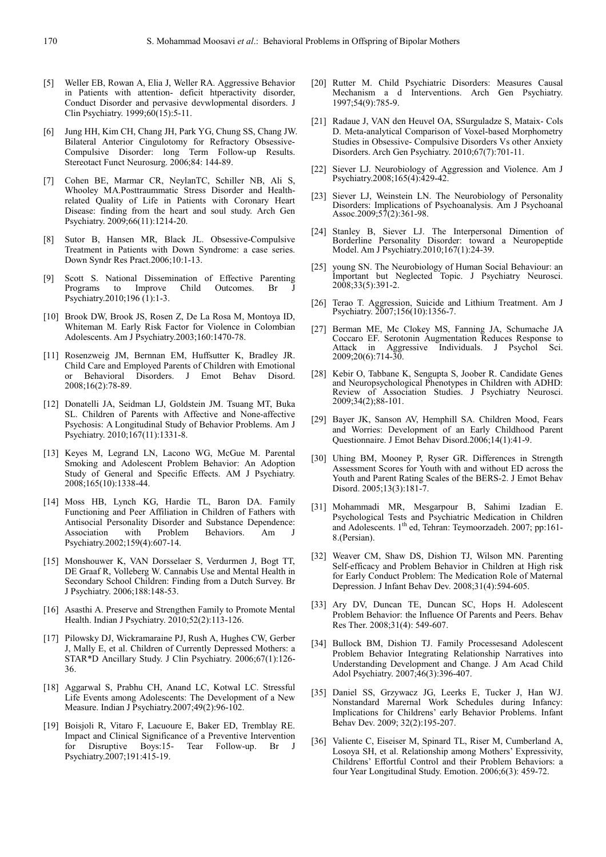- [5] Weller EB, Rowan A, Elia J, Weller RA. Aggressive Behavior in Patients with attention- deficit htperactivity disorder, Conduct Disorder and pervasive devwlopmental disorders. J Clin Psychiatry. 1999;60(15):5-11.
- [6] Jung HH, Kim CH, Chang JH, Park YG, Chung SS, Chang JW. Bilateral Anterior Cingulotomy for Refractory Obsessive-Compulsive Disorder: long Term Follow-up Results. Stereotact Funct Neurosurg. 2006;84: 144-89.
- [7] Cohen BE, Marmar CR, NeylanTC, Schiller NB, Ali S, Whooley MA.Posttraummatic Stress Disorder and Healthrelated Quality of Life in Patients with Coronary Heart Disease: finding from the heart and soul study. Arch Gen Psychiatry. 2009;66(11):1214-20.
- [8] Sutor B, Hansen MR, Black JL. Obsessive-Compulsive Treatment in Patients with Down Syndrome: a case series. Down Syndr Res Pract.2006;10:1-13.
- [9] Scott S. National Dissemination of Effective Parenting Programs to Improve Child Outcomes. Br Psychiatry.2010;196 (1):1-3.
- [10] Brook DW, Brook JS, Rosen Z, De La Rosa M, Montoya ID, Whiteman M. Early Risk Factor for Violence in Colombian Adolescents. Am J Psychiatry.2003;160:1470-78.
- [11] Rosenzweig JM, Bernnan EM, Huffsutter K, Bradley JR. Child Care and Employed Parents of Children with Emotional or Behavioral Disorders. J Emot Behav Disord. 2008;16(2):78-89.
- [12] Donatelli JA, Seidman LJ, Goldstein JM. Tsuang MT, Buka SL. Children of Parents with Affective and None-affective Psychosis: A Longitudinal Study of Behavior Problems. Am J Psychiatry. 2010;167(11):1331-8.
- [13] Keyes M, Legrand LN, Lacono WG, McGue M. Parental Smoking and Adolescent Problem Behavior: An Adoption Study of General and Specific Effects. AM J Psychiatry. 2008;165(10):1338-44.
- [14] Moss HB, Lynch KG, Hardie TL, Baron DA. Family Functioning and Peer Affiliation in Children of Fathers with Antisocial Personality Disorder and Substance Dependence: Association with Problem Behaviors. Am J Psychiatry.2002;159(4):607-14.
- [15] Monshouwer K, VAN Dorsselaer S, Verdurmen J, Bogt TT, DE Graaf R, Volleberg W. Cannabis Use and Mental Health in Secondary School Children: Finding from a Dutch Survey. Br J Psychiatry. 2006;188:148-53.
- [16] Asasthi A. Preserve and Strengthen Family to Promote Mental Health. Indian J Psychiatry. 2010;52(2):113-126.
- [17] Pilowsky DJ, Wickramaraine PJ, Rush A, Hughes CW, Gerber J, Mally E, et al. Children of Currently Depressed Mothers: a STAR\*D Ancillary Study. J Clin Psychiatry. 2006;67(1):126- 36.
- [18] Aggarwal S, Prabhu CH, Anand LC, Kotwal LC. Stressful Life Events among Adolescents: The Development of a New Measure. Indian J Psychiatry.2007;49(2):96-102.
- [19] Boisjoli R, Vitaro F, Lacuoure E, Baker ED, Tremblay RE. Impact and Clinical Significance of a Preventive Intervention<br>for Disruptive Boys:15- Tear Follow-up. Br J for Disruptive Boys:15- Tear Follow-up. Br Psychiatry.2007;191:415-19.
- [20] Rutter M. Child Psychiatric Disorders: Measures Causal Mechanism a d Interventions. Arch Gen Psychiatry. 1997;54(9):785-9.
- [21] Radaue J, VAN den Heuvel OA, SSurguladze S, Mataix- Cols D. Meta-analytical Comparison of Voxel-based Morphometry Studies in Obsessive- Compulsive Disorders Vs other Anxiety Disorders. Arch Gen Psychiatry. 2010;67(7):701-11.
- [22] Siever LJ. Neurobiology of Aggression and Violence. Am J Psychiatry.2008;165(4):429-42.
- [23] Siever LJ, Weinstein LN. The Neurobiology of Personality Disorders: Implications of Psychoanalysis. Am J Psychoanal Assoc.2009;57(2):361-98.
- [24] Stanley B, Siever LJ. The Interpersonal Dimention of Borderline Personality Disorder: toward a Neuropeptide Model. Am J Psychiatry.2010;167(1):24-39.
- [25] young SN. The Neurobiology of Human Social Behaviour: an Important but Neglected Topic. J Psychiatry Neurosci. 2008;33(5):391-2.
- [26] Terao T. Aggression, Suicide and Lithium Treatment. Am J Psychiatry. 2007;156(10):1356-7.
- [27] Berman ME, Mc Clokey MS, Fanning JA, Schumache JA Coccaro EF. Serotonin Augmentation Reduces Response to Attack in Aggressive Individuals. J Psychol Sci. 2009;20(6):714-30.
- [28] Kebir O, Tabbane K, Sengupta S, Joober R. Candidate Genes and Neuropsychological Phenotypes in Children with ADHD: Review of Association Studies. J Psychiatry Neurosci. 2009;34(2);88-101.
- [29] Bayer JK, Sanson AV, Hemphill SA. Children Mood, Fears and Worries: Development of an Early Childhood Parent Questionnaire. J Emot Behav Disord.2006;14(1):41-9.
- [30] Uhing BM, Mooney P, Ryser GR. Differences in Strength Assessment Scores for Youth with and without ED across the Youth and Parent Rating Scales of the BERS-2. J Emot Behav Disord. 2005;13(3):181-7.
- [31] Mohammadi MR, Mesgarpour B, Sahimi Izadian E. Psychological Tests and Psychiatric Medication in Children and Adolescents. 1<sup>th</sup> ed, Tehran: Teymoorzadeh. 2007; pp:161-8.(Persian).
- [32] Weaver CM, Shaw DS, Dishion TJ, Wilson MN. Parenting Self-efficacy and Problem Behavior in Children at High risk for Early Conduct Problem: The Medication Role of Maternal Depression. J Infant Behav Dev. 2008;31(4):594-605.
- [33] Ary DV, Duncan TE, Duncan SC, Hops H. Adolescent Problem Behavior: the Influence Of Parents and Peers. Behav Res Ther. 2008;31(4): 549-607.
- [34] Bullock BM, Dishion TJ. Family Processesand Adolescent Problem Behavior Integrating Relationship Narratives into Understanding Development and Change. J Am Acad Child Adol Psychiatry. 2007;46(3):396-407.
- [35] Daniel SS, Grzywacz JG, Leerks E, Tucker J, Han WJ. Nonstandard Marernal Work Schedules during Infancy: Implications for Childrens' early Behavior Problems. Infant Behav Dev. 2009; 32(2):195-207.
- [36] Valiente C, Eiseiser M, Spinard TL, Riser M, Cumberland A, Losoya SH, et al. Relationship among Mothers' Expressivity, Childrens' Effortful Control and their Problem Behaviors: a four Year Longitudinal Study. Emotion. 2006;6(3): 459-72.